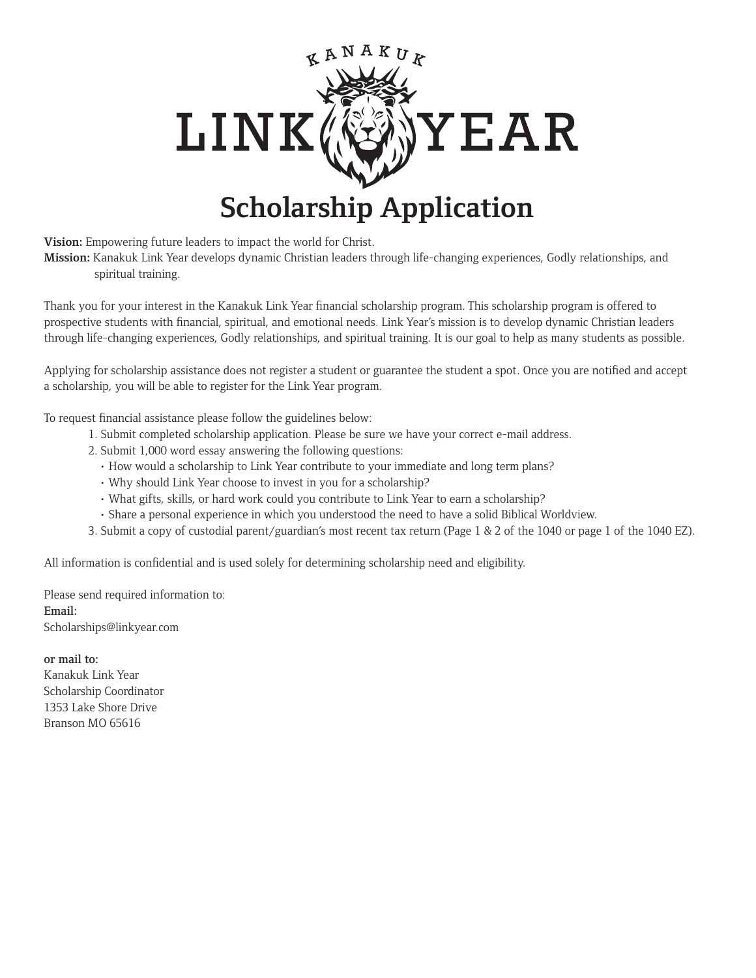

## **Scholarship Application**

**Vision:** Empowering future leaders to impact the world for Christ.

**Mission:** Kanakuk Link Year develops dynamic Christian leaders through life-changing experiences, Godly relationships, and spiritual training.

Thank you for your interest in the Kanakuk Link Year financial scholarship program. This scholarship program is offered to prospective students with financial, spiritual, and emotional needs. Link Year's mission is to develop dynamic Christian leaders through life-changing experiences, Godly relationships, and spiritual training. It is our goal to help as many students as possible.

Applying for scholarship assistance does not register a student or guarantee the student a spot. Once you are notified and accept a scholarship, you will be able to register for the Link Year program.

To request financial assistance please follow the guidelines below:

- 1. Submit completed scholarship application. Please be sure we have your correct e-mail address.
- 2. Submit 1,000 word essay answering the following questions:
	- How would a scholarship to Link Year contribute to your immediate and long term plans?
	- Why should Link Year choose to invest in you for a scholarship?
	- What gifts, skills, or hard work could you contribute to Link Year to earn a scholarship?
	- Share a personal experience in which you understood the need to have a solid Biblical Worldview.
- 3. Submit a copy of custodial parent/guardian's most recent tax return (Page 1 & 2 of the 1040 or page 1 of the 1040 EZ).

All information is confidential and is used solely for determining scholarship need and eligibility.

Please send required information to: Email: Scholarships@linkyear.com

## or mail to:

Kanakuk Link Year Scholarship Coordinator 1353 Lake Shore Drive Branson MO 65616